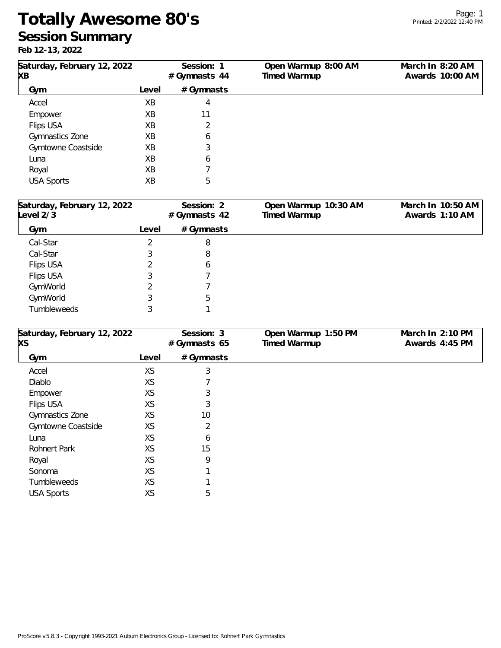## **Totally Awesome 80's Session Summary**

**Feb 12-13, 2022**

| Saturday, February 12, 2022<br>XΒ       |       | Session: 1<br>#Gymnasts 44 | Open Warmup 8:00 AM<br>Timed Warmup  | March In 8:20 AM<br>Awards 10:00 AM |
|-----------------------------------------|-------|----------------------------|--------------------------------------|-------------------------------------|
| Gym                                     | Level | # Gymnasts                 |                                      |                                     |
| Accel                                   | XB    | 4                          |                                      |                                     |
| Empower                                 | XB    | 11                         |                                      |                                     |
| Flips USA                               | XB    | 2                          |                                      |                                     |
| Gymnastics Zone                         | XB    | 6                          |                                      |                                     |
| Gymtowne Coastside                      | XB    | 3                          |                                      |                                     |
| Luna                                    | ХB    | 6                          |                                      |                                     |
| Royal                                   | XB    |                            |                                      |                                     |
| <b>USA Sports</b>                       | XB    | 5                          |                                      |                                     |
| Saturday, February 12, 2022<br>evel 2/3 |       | Session: 2<br>#Gymnasts 42 | Open Warmup 10:30 AM<br>Timed Warmup | March In 10:50 AM<br>Awards 1:10 AM |
| Gym                                     | Level | # Gymnasts                 |                                      |                                     |
| Cal-Star                                | 2     | 8                          |                                      |                                     |
| Cal-Star                                | 3     | 8                          |                                      |                                     |
| Flips USA                               | 2     | 6                          |                                      |                                     |
| Flips USA                               | 3     |                            |                                      |                                     |
| GymWorld                                | 2     |                            |                                      |                                     |
| GymWorld                                | 3     | 5                          |                                      |                                     |
| Tumbleweeds                             | 3     |                            |                                      |                                     |

| Saturday, February 12, 2022 |       | Session: 3      | Open Warmup 1:50 PM | March In 2:10 PM |
|-----------------------------|-------|-----------------|---------------------|------------------|
| XS                          |       | # Gymnasts $65$ | Timed Warmup        | Awards 4:45 PM   |
| Gym                         | Level | # Gymnasts      |                     |                  |
| Accel                       | XS    | 3               |                     |                  |
| Diablo                      | XS    |                 |                     |                  |
| Empower                     | XS    | 3               |                     |                  |
| Flips USA                   | XS    | 3               |                     |                  |
| Gymnastics Zone             | XS    | 10              |                     |                  |
| Gymtowne Coastside          | XS    | 2               |                     |                  |
| Luna                        | XS    | 6               |                     |                  |
| Rohnert Park                | XS    | 15              |                     |                  |
| Royal                       | XS    | 9               |                     |                  |
| Sonoma                      | XS    |                 |                     |                  |
| Tumbleweeds                 | XS    |                 |                     |                  |
| <b>USA Sports</b>           | XS    | 5               |                     |                  |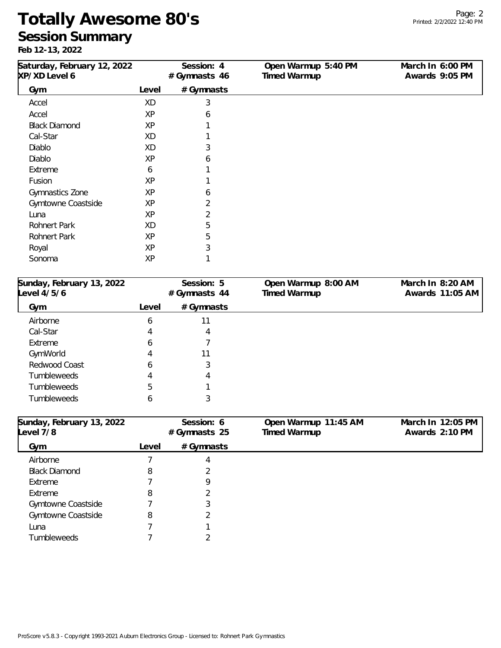## **Totally Awesome 80's Session Summary**

**Feb 12-13, 2022**

| Saturday, February 12, 2022<br>XP/XD Level 6 |       | Session: 4<br>#Gymnasts 46 | Open Warmup 5:40 PM<br>Timed Warmup | March In 6:00 PM<br>Awards 9:05 PM |
|----------------------------------------------|-------|----------------------------|-------------------------------------|------------------------------------|
| Gym                                          | Level | # Gymnasts                 |                                     |                                    |
| Accel                                        | XD    | 3                          |                                     |                                    |
| Accel                                        | XP    | 6                          |                                     |                                    |
| <b>Black Diamond</b>                         | XP    |                            |                                     |                                    |
| Cal-Star                                     | XD    |                            |                                     |                                    |
| Diablo                                       | XD    | 3                          |                                     |                                    |
| Diablo                                       | XP    | 6                          |                                     |                                    |
| Extreme                                      | 6     |                            |                                     |                                    |
| Fusion                                       | XP    |                            |                                     |                                    |
| Gymnastics Zone                              | XP    | 6                          |                                     |                                    |
| Gymtowne Coastside                           | XP    | 2                          |                                     |                                    |
| Luna                                         | XP    | $\overline{2}$             |                                     |                                    |
| Rohnert Park                                 | XD    | 5                          |                                     |                                    |
| Rohnert Park                                 | XP    | 5                          |                                     |                                    |
| Royal                                        | XP    | 3                          |                                     |                                    |
| Sonoma                                       | XP    |                            |                                     |                                    |

| Sunday, February 13, 2022<br>Level 4/5/6 |       | Session: 5<br># Gymnasts 44 | Open Warmup 8:00 AM<br>Timed Warmup | March In 8:20 AM<br>Awards 11:05 AM |
|------------------------------------------|-------|-----------------------------|-------------------------------------|-------------------------------------|
| Gym                                      | Level | # Gymnasts                  |                                     |                                     |
| Airborne                                 | b     | 11                          |                                     |                                     |
| Cal-Star                                 | 4     | 4                           |                                     |                                     |
| Extreme                                  | b     |                             |                                     |                                     |
| GymWorld                                 | 4     | 11                          |                                     |                                     |
| Redwood Coast                            | b     | 3                           |                                     |                                     |
| <b>Tumbleweeds</b>                       | 4     | 4                           |                                     |                                     |
| <b>Tumbleweeds</b>                       | 5     |                             |                                     |                                     |
| <b>Tumbleweeds</b>                       | b     | 3                           |                                     |                                     |

| Sunday, February 13, 2022<br>Level 7/8 |       | Session: 6<br># Gymnasts 25 | Open Warmup 11:45 AM<br>Timed Warmup | March In 12:05 PM<br>Awards 2:10 PM |
|----------------------------------------|-------|-----------------------------|--------------------------------------|-------------------------------------|
| Gym                                    | Level | # Gymnasts                  |                                      |                                     |
| Airborne                               |       | 4                           |                                      |                                     |
| <b>Black Diamond</b>                   | 8     |                             |                                      |                                     |
| Extreme                                |       | 9                           |                                      |                                     |
| Extreme                                | 8     |                             |                                      |                                     |
| Gymtowne Coastside                     |       | 3                           |                                      |                                     |
| Gymtowne Coastside                     | 8     |                             |                                      |                                     |
| Luna                                   |       |                             |                                      |                                     |
| <b>Tumbleweeds</b>                     |       |                             |                                      |                                     |